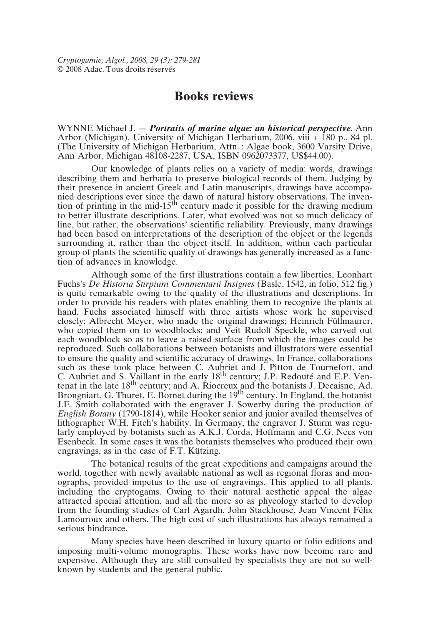## **Books reviews**

WYNNE Michael J. — *Portraits of marine algae: an historical perspective*. Ann Arbor (Michigan), University of Michigan Herbarium, 2006, viii + 180 p., 84 pl. (The University of Michigan Herbarium, Attn. : Algae book, 3600 Varsity Drive, Ann Arbor, Michigan 48108-2287, USA, ISBN 0962073377, US\$44.00).

Our knowledge of plants relies on a variety of media: words, drawings describing them and herbaria to preserve biological records of them. Judging by their presence in ancient Greek and Latin manuscripts, drawings have accompanied descriptions ever since the dawn of natural history observations. The invention of printing in the mid-15<sup>th</sup> century made it possible for the drawing medium to better illustrate descriptions. Later, what evolved was not so much delicacy of line, but rather, the observations' scientific reliability. Previously, many drawings had been based on interpretations of the description of the object or the legends surrounding it, rather than the object itself. In addition, within each particular group of plants the scientific quality of drawings has generally increased as a function of advances in knowledge.

Although some of the first illustrations contain a few liberties, Leonhart Fuchs's *De Historia Stirpium Commentarii Insignes* (Basle, 1542, in folio, 512 fig.) is quite remarkable owing to the quality of the illustrations and descriptions. In order to provide his readers with plates enabling them to recognize the plants at hand, Fuchs associated himself with three artists whose work he supervised closely: Albrecht Meyer, who made the original drawings; Heinrich Füllmaurer, who copied them on to woodblocks; and Veit Rudolf Speckle, who carved out each woodblock so as to leave a raised surface from which the images could be reproduced. Such collaborations between botanists and illustrators were essential to ensure the quality and scientific accuracy of drawings. In France, collaborations such as these took place between C. Aubriet and J. Pitton de Tournefort, and C. Aubriet and S. Vaillant in the early  $18<sup>th</sup>$  century; J.P. Redouté and E.P. Ventenat in the late  $18<sup>th</sup>$  century; and A. Riocreux and the botanists J. Decaisne, Ad. Brongniart, G. Thuret, E. Bornet during the 19<sup>th</sup> century. In England, the botanist J.E. Smith collaborated with the engraver J. Sowerby during the production of *English Botany* (1790-1814), while Hooker senior and junior availed themselves of lithographer W.H. Fitch's hability. In Germany, the engraver J. Sturm was regularly employed by botanists such as A.K.J. Corda, Hoffmann and C.G. Nees von Esenbeck. In some cases it was the botanists themselves who produced their own engravings, as in the case of F.T. Kützing.

The botanical results of the great expeditions and campaigns around the world, together with newly available national as well as regional floras and monographs, provided impetus to the use of engravings. This applied to all plants, including the cryptogams. Owing to their natural aesthetic appeal the algae attracted special attention, and all the more so as phycology started to develop from the founding studies of Carl Agardh, John Stackhouse, Jean Vincent Félix Lamouroux and others. The high cost of such illustrations has always remained a serious hindrance.

Many species have been described in luxury quarto or folio editions and imposing multi-volume monographs. These works have now become rare and expensive. Although they are still consulted by specialists they are not so wellknown by students and the general public.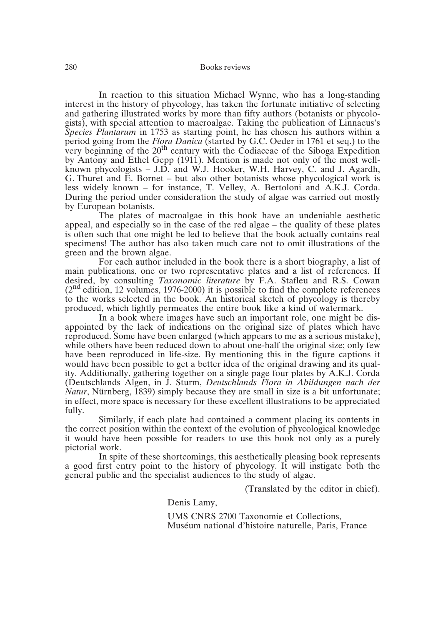In reaction to this situation Michael Wynne, who has a long-standing interest in the history of phycology, has taken the fortunate initiative of selecting and gathering illustrated works by more than fifty authors (botanists or phycologists), with special attention to macroalgae. Taking the publication of Linnaeus's *Species Plantarum* in 1753 as starting point, he has chosen his authors within a period going from the *Flora Danica* (started by G.C. Oeder in 1761 et seq.) to the very beginning of the  $20<sup>th</sup>$  century with the Codiaceae of the Siboga Expedition by Antony and Ethel Gepp (1911). Mention is made not only of the most wellknown phycologists – J.D. and W.J. Hooker, W.H. Harvey, C. and J. Agardh, G. Thuret and E. Bornet – but also other botanists whose phycological work is less widely known – for instance, T. Velley, A. Bertoloni and A.K.J. Corda. During the period under consideration the study of algae was carried out mostly by European botanists.

The plates of macroalgae in this book have an undeniable aesthetic appeal, and especially so in the case of the red algae – the quality of these plates is often such that one might be led to believe that the book actually contains real specimens! The author has also taken much care not to omit illustrations of the green and the brown algae.

For each author included in the book there is a short biography, a list of main publications, one or two representative plates and a list of references. If desired, by consulting *Taxonomic literature* by F.A. Stafleu and R.S. Cowan  $(2<sup>nd</sup> edition, 12 volumes, 1976-2000)$  it is possible to find the complete references to the works selected in the book. An historical sketch of phycology is thereby produced, which lightly permeates the entire book like a kind of watermark.

In a book where images have such an important role, one might be disappointed by the lack of indications on the original size of plates which have reproduced. Some have been enlarged (which appears to me as a serious mistake), while others have been reduced down to about one-half the original size; only few have been reproduced in life-size. By mentioning this in the figure captions it would have been possible to get a better idea of the original drawing and its quality. Additionally, gathering together on a single page four plates by A.K.J. Corda (Deutschlands Algen, in J. Sturm, *Deutschlands Flora in Abildungen nach der Natur*, Nürnberg, 1839) simply because they are small in size is a bit unfortunate; in effect, more space is necessary for these excellent illustrations to be appreciated fully.

Similarly, if each plate had contained a comment placing its contents in the correct position within the context of the evolution of phycological knowledge it would have been possible for readers to use this book not only as a purely pictorial work.

In spite of these shortcomings, this aesthetically pleasing book represents a good first entry point to the history of phycology. It will instigate both the general public and the specialist audiences to the study of algae.

(Translated by the editor in chief).

Denis Lamy,

UMS CNRS 2700 Taxonomie et Collections, Muséum national d'histoire naturelle, Paris, France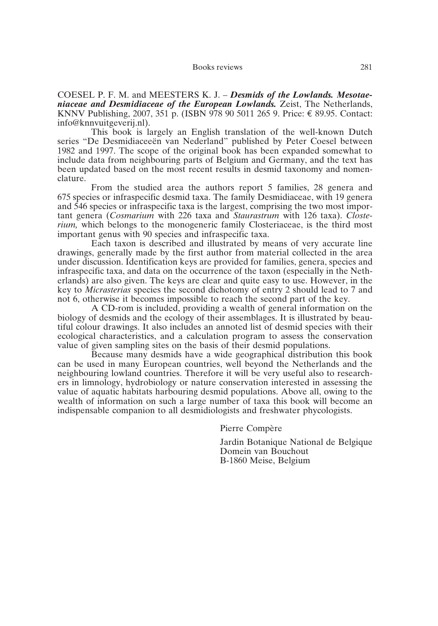## Books reviews 281

COESEL P. F. M. and MEESTERS K. J. – *Desmids of the Lowlands. Mesotaeniaceae and Desmidiaceae of the European Lowlands.* Zeist, The Netherlands, KNNV Publishing, 2007, 351 p. (ISBN 978 90 5011 265 9. Price: € 89.95. Contact: info@knnvuitgeverij.nl).

This book is largely an English translation of the well-known Dutch series "De Desmidiaceeën van Nederland" published by Peter Coesel between 1982 and 1997. The scope of the original book has been expanded somewhat to include data from neighbouring parts of Belgium and Germany, and the text has been updated based on the most recent results in desmid taxonomy and nomenclature.

From the studied area the authors report 5 families, 28 genera and 675 species or infraspecific desmid taxa. The family Desmidiaceae, with 19 genera and 546 species or infraspecific taxa is the largest, comprising the two most important genera (*Cosmarium* with 226 taxa and *Staurastrum* with 126 taxa). *Closterium,* which belongs to the monogeneric family Closteriaceae, is the third most important genus with 90 species and infraspecific taxa.

Each taxon is described and illustrated by means of very accurate line drawings, generally made by the first author from material collected in the area under discussion. Identification keys are provided for families, genera, species and infraspecific taxa, and data on the occurrence of the taxon (especially in the Netherlands) are also given. The keys are clear and quite easy to use. However, in the key to *Micrasterias* species the second dichotomy of entry 2 should lead to 7 and not 6, otherwise it becomes impossible to reach the second part of the key.

A CD-rom is included, providing a wealth of general information on the biology of desmids and the ecology of their assemblages. It is illustrated by beautiful colour drawings. It also includes an annoted list of desmid species with their ecological characteristics, and a calculation program to assess the conservation value of given sampling sites on the basis of their desmid populations.

Because many desmids have a wide geographical distribution this book can be used in many European countries, well beyond the Netherlands and the neighbouring lowland countries. Therefore it will be very useful also to researchers in limnology, hydrobiology or nature conservation interested in assessing the value of aquatic habitats harbouring desmid populations. Above all, owing to the wealth of information on such a large number of taxa this book will become an indispensable companion to all desmidiologists and freshwater phycologists.

Pierre Compère

Jardin Botanique National de Belgique Domein van Bouchout B-1860 Meise, Belgium